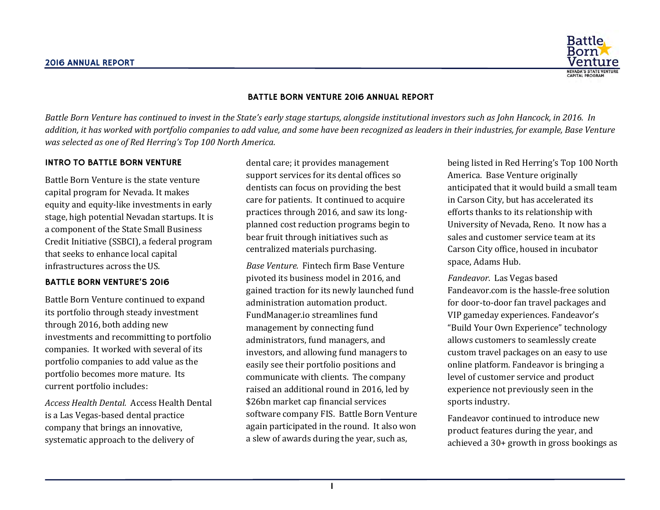

### BATTLE BORN VENTURE 2016 ANNUAL REPORT

Battle Born Venture has continued to invest in the State's early stage startups, alongside institutional investors such as John Hancock, in 2016. In *addition, it has worked with portfolio companies to add value, and some have been recognized as leaders in their industries, for example, Base Venture was selected as one of Red Herring's Top 100 North America.*

#### INTRO TO BATTLE BORN VENTURE

Battle Born Venture is the state venture capital program for Nevada. It makes equity and equity-like investments in early stage, high potential Nevadan startups. It is a component of the State Small Business Credit Initiative (SSBCI), a federal program that seeks to enhance local capital infrastructures across the US.

#### BATTLE BORN VENTURE'S 2016

Battle Born Venture continued to expand its portfolio through steady investment through 2016, both adding new investments and recommitting to portfolio companies. It worked with several of its portfolio companies to add value as the portfolio becomes more mature. Its current portfolio includes:

*Access Health Dental.* Access Health Dental is a Las Vegas-based dental practice company that brings an innovative, systematic approach to the delivery of

dental care; it provides management support services for its dental offices so dentists can focus on providing the best care for patients. It continued to acquire practices through 2016, and saw its longplanned cost reduction programs begin to bear fruit through initiatives such as centralized materials purchasing.

*Base Venture.* Fintech firm Base Venture pivoted its business model in 2016, and gained traction for its newly launched fund administration automation product. FundManager.io streamlines fund management by connecting fund administrators, fund managers, and investors, and allowing fund managers to easily see their portfolio positions and communicate with clients. The company raised an additional round in 2016, led by \$26bn market cap financial services software company FIS. Battle Born Venture again participated in the round. It also won a slew of awards during the year, such as,

being listed in Red Herring's Top 100 North America. Base Venture originally anticipated that it would build a small team in Carson City, but has accelerated its efforts thanks to its relationship with University of Nevada, Reno. It now has a sales and customer service team at its Carson City office, housed in incubator space, Adams Hub.

*Fandeavor.* Las Vegas based Fandeavor.com is the hassle-free solution for door-to-door fan travel packages and VIP gameday experiences. Fandeavor's "Build Your Own Experience" technology allows customers to seamlessly create custom travel packages on an easy to use online platform. Fandeavor is bringing a level of customer service and product experience not previously seen in the sports industry.

Fandeavor continued to introduce new product features during the year, and achieved a 30+ growth in gross bookings as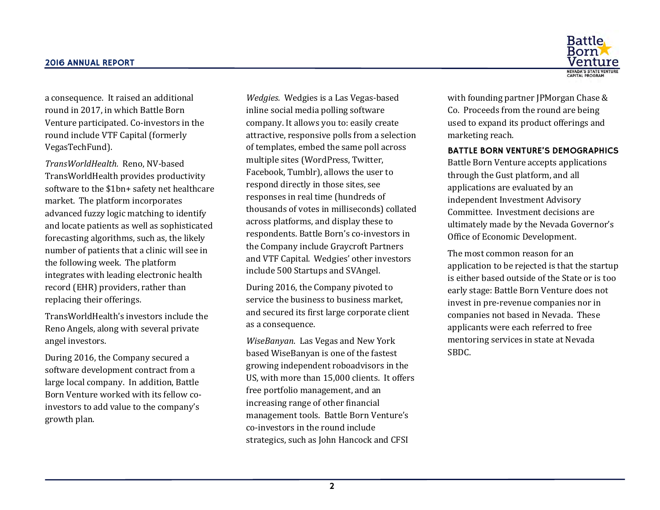

a consequence. It raised an additional round in 2017, in which Battle Born Venture participated. Co-investors in the round include VTF Capital (formerly VegasTechFund).

*TransWorldHealth.* Reno, NV-based TransWorldHealth provides productivity software to the \$1bn+ safety net healthcare market. The platform incorporates advanced fuzzy logic matching to identify and locate patients as well as sophisticated forecasting algorithms, such as, the likely number of patients that a clinic will see in the following week. The platform integrates with leading electronic health record (EHR) providers, rather than replacing their offerings.

TransWorldHealth's investors include the Reno Angels, along with several private angel investors.

During 2016, the Company secured a software development contract from a large local company. In addition, Battle Born Venture worked with its fellow coinvestors to add value to the company's growth plan.

*Wedgies.* Wedgies is a Las Vegas-based inline social media polling software company. It allows you to: easily create attractive, responsive polls from a selection of templates, embed the same poll across multiple sites (WordPress, Twitter, Facebook, Tumblr), allows the user to respond directly in those sites, see responses in real time (hundreds of thousands of votes in milliseconds) collated across platforms, and display these to respondents. Battle Born's co-investors in the Company include Graycroft Partners and VTF Capital. Wedgies' other investors include 500 Startups and SVAngel.

During 2016, the Company pivoted to service the business to business market, and secured its first large corporate client as a consequence.

*WiseBanyan*. Las Vegas and New York based WiseBanyan is one of the fastest growing independent roboadvisors in the US, with more than 15,000 clients. It offers free portfolio management, and an increasing range of other financial management tools. Battle Born Venture's co-investors in the round include strategics, such as John Hancock and CFSI

with founding partner JPMorgan Chase & Co. Proceeds from the round are being used to expand its product offerings and marketing reach.

BATTLE BORN VENTURE'S DEMOGRAPHICS

Battle Born Venture accepts applications through the Gust platform, and all applications are evaluated by an independent Investment Advisory Committee. Investment decisions are ultimately made by the Nevada Governor's Office of Economic Development.

The most common reason for an application to be rejected is that the startup is either based outside of the State or is too early stage: Battle Born Venture does not invest in pre-revenue companies nor in companies not based in Nevada. These applicants were each referred to free mentoring services in state at Nevada SBDC.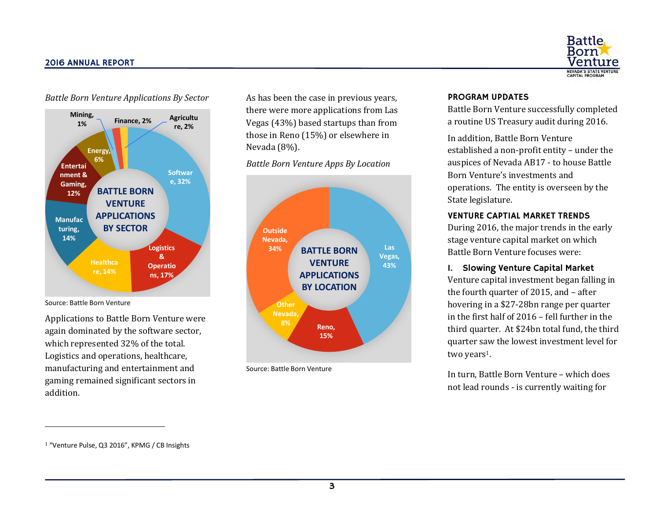



Source: Battle Born Venture

l

Applications to Battle Born Venture were again dominated by the software sector, which represented 32% of the total. Logistics and operations, healthcare, manufacturing and entertainment and gaming remained significant sectors in addition.

As has been the case in previous years, there were more applications from Las Vegas (43%) based startups than from those in Reno (15%) or elsewhere in Nevada (8%).

*Battle Born Venture Apps By Location*



Source: Battle Born Venture

## PROGRAM UPDATES

Battle Born Venture successfully completed a routine US Treasury audit during 2016.

In addition, Battle Born Venture established a non-profit entity – under the auspices of Nevada AB17 - to house Battle Born Venture's investments and operations. The entity is overseen by the State legislature.

# VENTURE CAPTIAL MARKET TRENDS

During 2016, the major trends in the early stage venture capital market on which Battle Born Venture focuses were:

# 1. Slowing Venture Capital Market

Venture capital investment began falling in the fourth quarter of 2015, and – after hovering in a \$27-28bn range per quarter in the first half of 2016 – fell further in the third quarter. At \$24bn total fund, the third quarter saw the lowest investment level for two years<sup>1</sup>.

In turn, Battle Born Venture – which does not lead rounds - is currently waiting for

<sup>1</sup> "Venture Pulse, Q3 2016", KPMG / CB Insights